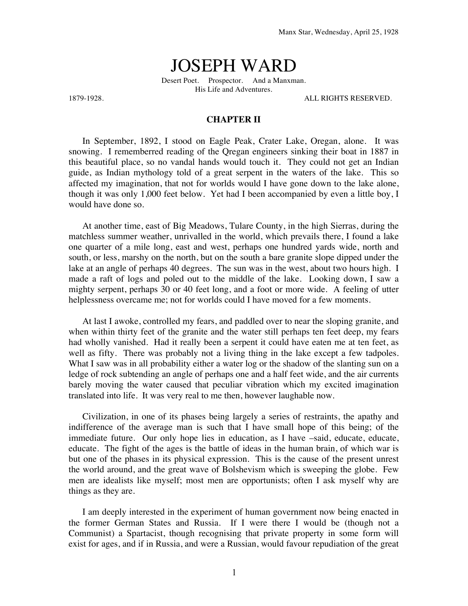## JOSEPH WARD

Desert Poet. Prospector. And a Manxman. His Life and Adventures.

1879-1928. ALL RIGHTS RESERVED.

## **CHAPTER II**

In September, 1892, I stood on Eagle Peak, Crater Lake, Oregan, alone. It was snowing. I rememberred reading of the Qregan engineers sinking their boat in 1887 in this beautiful place, so no vandal hands would touch it. They could not get an Indian guide, as Indian mythology told of a great serpent in the waters of the lake. This so affected my imagination, that not for worlds would I have gone down to the lake alone, though it was only 1,000 feet below. Yet had I been accompanied by even a little boy, I would have done so.

At another time, east of Big Meadows, Tulare County, in the high Sierras, during the matchless summer weather, unrivalled in the world, which prevails there, I found a lake one quarter of a mile long, east and west, perhaps one hundred yards wide, north and south, or less, marshy on the north, but on the south a bare granite slope dipped under the lake at an angle of perhaps 40 degrees. The sun was in the west, about two hours high. I made a raft of logs and poled out to the middle of the lake. Looking down, I saw a mighty serpent, perhaps 30 or 40 feet long, and a foot or more wide. A feeling of utter helplessness overcame me; not for worlds could I have moved for a few moments.

At last I awoke, controlled my fears, and paddled over to near the sloping granite, and when within thirty feet of the granite and the water still perhaps ten feet deep, my fears had wholly vanished. Had it really been a serpent it could have eaten me at ten feet, as well as fifty. There was probably not a living thing in the lake except a few tadpoles. What I saw was in all probability either a water log or the shadow of the slanting sun on a ledge of rock subtending an angle of perhaps one and a half feet wide, and the air currents barely moving the water caused that peculiar vibration which my excited imagination translated into life. It was very real to me then, however laughable now.

Civilization, in one of its phases being largely a series of restraints, the apathy and indifference of the average man is such that I have small hope of this being; of the immediate future. Our only hope lies in education, as I have –said, educate, educate, educate. The fight of the ages is the battle of ideas in the human brain, of which war is but one of the phases in its physical expression. This is the cause of the present unrest the world around, and the great wave of Bolshevism which is sweeping the globe. Few men are idealists like myself; most men are opportunists; often I ask myself why are things as they are.

I am deeply interested in the experiment of human government now being enacted in the former German States and Russia. If I were there I would be (though not a Communist) a Spartacist, though recognising that private property in some form will exist for ages, and if in Russia, and were a Russian, would favour repudiation of the great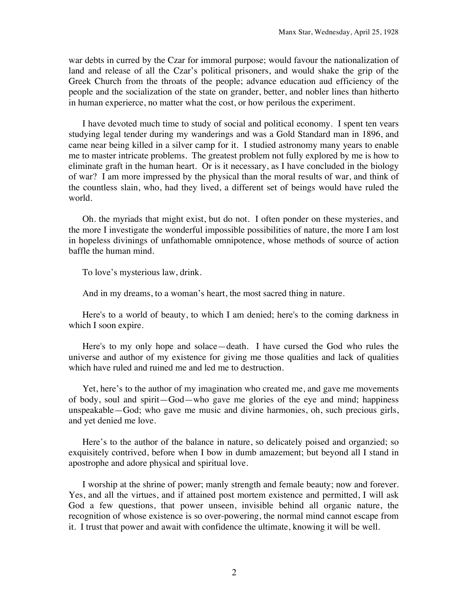war debts in curred by the Czar for immoral purpose; would favour the nationalization of land and release of all the Czar's political prisoners, and would shake the grip of the Greek Church from the throats of the people; advance education aud efficiency of the people and the socialization of the state on grander, better, and nobler lines than hitherto in human experierce, no matter what the cost, or how perilous the experiment.

I have devoted much time to study of social and political economy. I spent ten vears studying legal tender during my wanderings and was a Gold Standard man in 1896, and came near being killed in a silver camp for it. I studied astronomy many years to enable me to master intricate problems. The greatest problem not fully explored by me is how to eliminate graft in the human heart. Or is it necessary, as I have concluded in the biology of war? I am more impressed by the physical than the moral results of war, and think of the countless slain, who, had they lived, a different set of beings would have ruled the world.

Oh. the myriads that might exist, but do not. I often ponder on these mysteries, and the more I investigate the wonderful impossible possibilities of nature, the more I am lost in hopeless divinings of unfathomable omnipotence, whose methods of source of action baffle the human mind.

To love's mysterious law, drink.

And in my dreams, to a woman's heart, the most sacred thing in nature.

Here's to a world of beauty, to which I am denied; here's to the coming darkness in which I soon expire.

Here's to my only hope and solace—death. I have cursed the God who rules the universe and author of my existence for giving me those qualities and lack of qualities which have ruled and ruined me and led me to destruction.

Yet, here's to the author of my imagination who created me, and gave me movements of body, soul and spirit—God—who gave me glories of the eye and mind; happiness unspeakable—God; who gave me music and divine harmonies, oh, such precious girls, and yet denied me love.

Here's to the author of the balance in nature, so delicately poised and organzied; so exquisitely contrived, before when I bow in dumb amazement; but beyond all I stand in apostrophe and adore physical and spiritual love.

I worship at the shrine of power; manly strength and female beauty; now and forever. Yes, and all the virtues, and if attained post mortem existence and permitted, I will ask God a few questions, that power unseen, invisible behind all organic nature, the recognition of whose existence is so over-powering, the normal mind cannot escape from it. I trust that power and await with confidence the ultimate, knowing it will be well.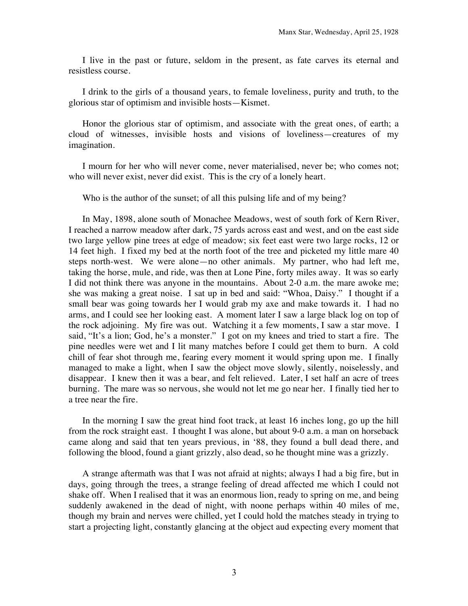I live in the past or future, seldom in the present, as fate carves its eternal and resistless course.

I drink to the girls of a thousand years, to female loveliness, purity and truth, to the glorious star of optimism and invisible hosts—Kismet.

Honor the glorious star of optimism, and associate with the great ones, of earth; a cloud of witnesses, invisible hosts and visions of loveliness—creatures of my imagination.

I mourn for her who will never come, never materialised, never be; who comes not; who will never exist, never did exist. This is the cry of a lonely heart.

Who is the author of the sunset; of all this pulsing life and of my being?

In May, 1898, alone south of Monachee Meadows, west of south fork of Kern River, I reached a narrow meadow after dark, 75 yards across east and west, and on tbe east side two large yellow pine trees at edge of meadow; six feet east were two large rocks, 12 or 14 feet high. I fixed my bed at the north foot of the tree and picketed my little mare 40 steps north-west. We were alone—no other animals. My partner, who had left me, taking the horse, mule, and ride, was then at Lone Pine, forty miles away. It was so early I did not think there was anyone in the mountains. About 2-0 a.m. the mare awoke me; she was making a great noise. I sat up in bed and said: "Whoa, Daisy." I thought if a small bear was going towards her I would grab my axe and make towards it. I had no arms, and I could see her looking east. A moment later I saw a large black log on top of the rock adjoining. My fire was out. Watching it a few moments, I saw a star move. I said, "It's a lion; God, he's a monster." I got on my knees and tried to start a fire. The pine needles were wet and I lit many matches before I could get them to burn. A cold chill of fear shot through me, fearing every moment it would spring upon me. I finally managed to make a light, when I saw the object move slowly, silently, noiselessly, and disappear. I knew then it was a bear, and felt relieved. Later, I set half an acre of trees burning. The mare was so nervous, she would not let me go near her. I finally tied her to a tree near the fire.

In the morning I saw the great hind foot track, at least 16 inches long, go up the hill from the rock straight east. I thought I was alone, but about 9-0 a.m. a man on horseback came along and said that ten years previous, in '88, they found a bull dead there, and following the blood, found a giant grizzly, also dead, so he thought mine was a grizzly.

A strange aftermath was that I was not afraid at nights; always I had a big fire, but in days, going through the trees, a strange feeling of dread affected me which I could not shake off. When I realised that it was an enormous lion, ready to spring on me, and being suddenly awakened in the dead of night, with noone perhaps within 40 miles of me, though my brain and nerves were chilled, yet I could hold the matches steady in trying to start a projecting light, constantly glancing at the object aud expecting every moment that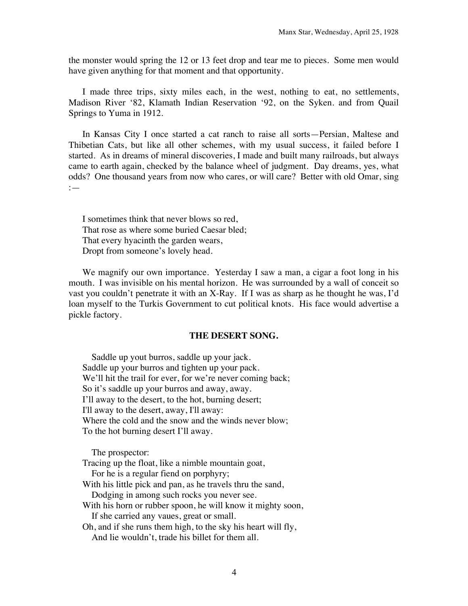the monster would spring the 12 or 13 feet drop and tear me to pieces. Some men would have given anything for that moment and that opportunity.

I made three trips, sixty miles each, in the west, nothing to eat, no settlements, Madison River '82, Klamath Indian Reservation '92, on the Syken. and from Quail Springs to Yuma in 1912.

In Kansas City I once started a cat ranch to raise all sorts—Persian, Maltese and Thibetian Cats, but like all other schemes, with my usual success, it failed before I started. As in dreams of mineral discoveries, I made and built many railroads, but always came to earth again, checked by the balance wheel of judgment. Day dreams, yes, what odds? One thousand years from now who cares, or will care? Better with old Omar, sing :—

I sometimes think that never blows so red, That rose as where some buried Caesar bled; That every hyacinth the garden wears, Dropt from someone's lovely head.

We magnify our own importance. Yesterday I saw a man, a cigar a foot long in his mouth. I was invisible on his mental horizon. He was surrounded by a wall of conceit so vast you couldn't penetrate it with an X-Ray. If I was as sharp as he thought he was, I'd loan myself to the Turkis Government to cut political knots. His face would advertise a pickle factory.

## **THE DESERT SONG.**

 Saddle up yout burros, saddle up your jack. Saddle up your burros and tighten up your pack. We'll hit the trail for ever, for we're never coming back; So it's saddle up your burros and away, away. I'll away to the desert, to the hot, burning desert; I'll away to the desert, away, I'll away: Where the cold and the snow and the winds never blow; To the hot burning desert I'll away.

The prospector:

Tracing up the float, like a nimble mountain goat,

For he is a regular fiend on porphyry;

With his little pick and pan, as he travels thru the sand,

Dodging in among such rocks you never see.

With his horn or rubber spoon, he will know it mighty soon, If she carried any vaues, great or small.

Oh, and if she runs them high, to the sky his heart will fly, And lie wouldn't, trade his billet for them all.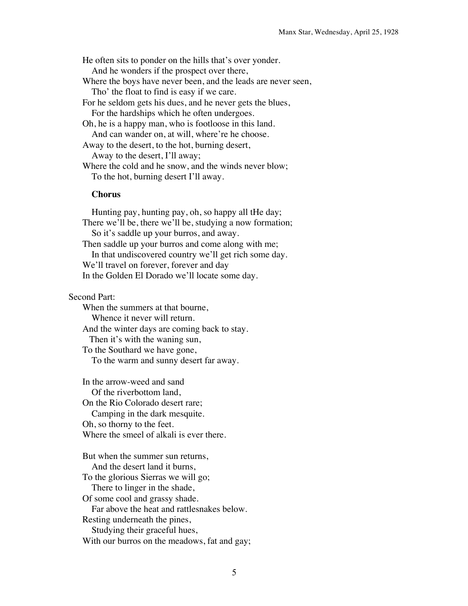He often sits to ponder on the hills that's over yonder. And he wonders if the prospect over there, Where the boys have never been, and the leads are never seen, Tho' the float to find is easy if we care. For he seldom gets his dues, and he never gets the blues, For the hardships which he often undergoes. Oh, he is a happy man, who is footloose in this land. And can wander on, at will, where're he choose. Away to the desert, to the hot, burning desert, Away to the desert, I'll away; Where the cold and he snow, and the winds never blow; To the hot, burning desert I'll away.

## **Chorus**

 Hunting pay, hunting pay, oh, so happy all tHe day; There we'll be, there we'll be, studying a now formation; So it's saddle up your burros, and away. Then saddle up your burros and come along with me; In that undiscovered country we'll get rich some day. We'll travel on forever, forever and day In the Golden El Dorado we'll locate some day.

Second Part:

When the summers at that bourne, Whence it never will return. And the winter days are coming back to stay. Then it's with the waning sun, To the Southard we have gone, To the warm and sunny desert far away.

In the arrow-weed and sand Of the riverbottom land, On the Rio Colorado desert rare; Camping in the dark mesquite. Oh, so thorny to the feet. Where the smeel of alkali is ever there.

But when the summer sun returns, And the desert land it burns, To the glorious Sierras we will go; There to linger in the shade, Of some cool and grassy shade. Far above the heat and rattlesnakes below. Resting underneath the pines, Studying their graceful hues, With our burros on the meadows, fat and gay;